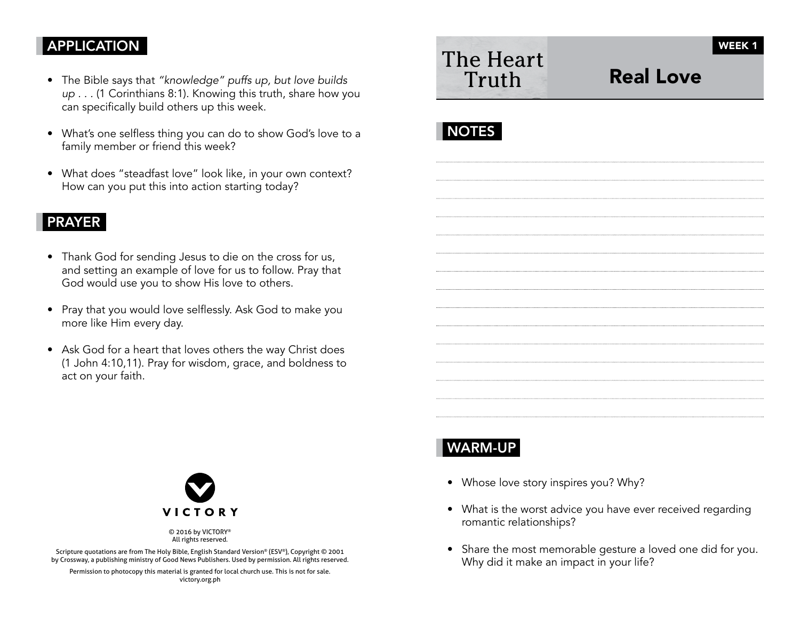#### APPLICATION

- The Bible says that "knowledge" puffs up, but love builds up . . . (1 Corinthians 8:1). Knowing this truth, share how you can specifically build others up this week.
- What's one selfless thing you can do to show God's love to a family member or friend this week?
- What does "steadfast love" look like, in your own context? How can you put this into action starting today?

#### PRAYER

- Thank God for sending Jesus to die on the cross for us, and setting an example of love for us to follow. Pray that God would use you to show His love to others.
- Pray that you would love selflessly. Ask God to make you more like Him every day.
- Ask God for a heart that loves others the way Christ does (1 John 4:10,11). Pray for wisdom, grace, and boldness to act on your faith.

| The Heart | Truth |  |  |
|-----------|-------|--|--|
|           |       |  |  |
|           |       |  |  |

# Real Love

## **NOTES**



© 2016 by VICTORY® All rights reserved.

Scripture quotations are from The Holy Bible, English Standard Version® (ESV®), Copyright © 2001 by Crossway, a publishing ministry of Good News Publishers. Used by permission. All rights reserved.

Permission to photocopy this material is granted for local church use. This is not for sale. victory.org.ph

## WARM-UP

- Whose love story inspires you? Why?
- What is the worst advice you have ever received regarding romantic relationships?
- Share the most memorable gesture a loved one did for you. Why did it make an impact in your life?

WEEK<sub>1</sub>